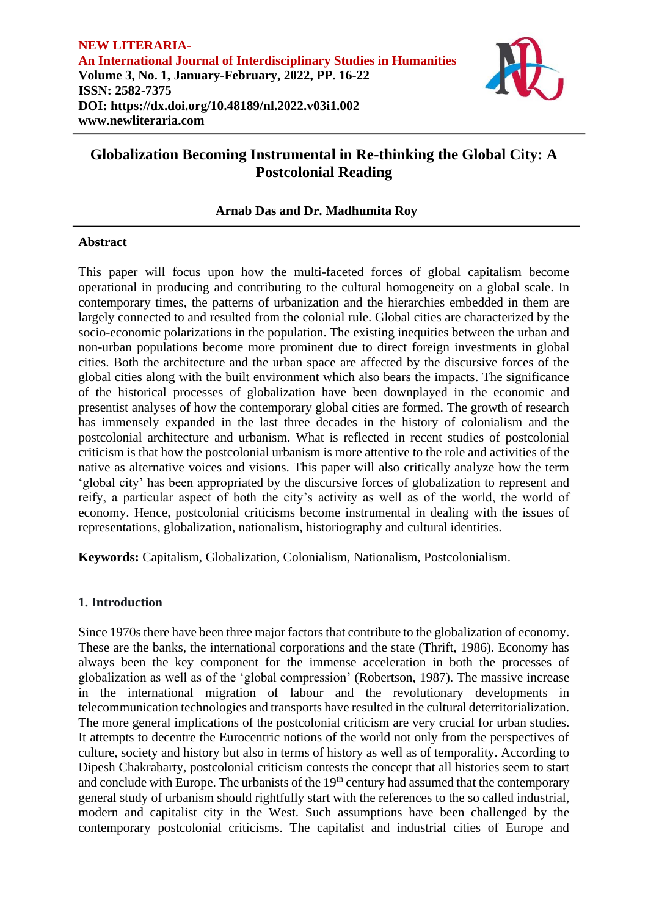

# **Arnab Das and Dr. Madhumita Roy**

# **Abstract**

This paper will focus upon how the multi-faceted forces of global capitalism become operational in producing and contributing to the cultural homogeneity on a global scale. In contemporary times, the patterns of urbanization and the hierarchies embedded in them are largely connected to and resulted from the colonial rule. Global cities are characterized by the socio-economic polarizations in the population. The existing inequities between the urban and non-urban populations become more prominent due to direct foreign investments in global cities. Both the architecture and the urban space are affected by the discursive forces of the global cities along with the built environment which also bears the impacts. The significance of the historical processes of globalization have been downplayed in the economic and presentist analyses of how the contemporary global cities are formed. The growth of research has immensely expanded in the last three decades in the history of colonialism and the postcolonial architecture and urbanism. What is reflected in recent studies of postcolonial criticism is that how the postcolonial urbanism is more attentive to the role and activities of the native as alternative voices and visions. This paper will also critically analyze how the term 'global city' has been appropriated by the discursive forces of globalization to represent and reify, a particular aspect of both the city's activity as well as of the world, the world of economy. Hence, postcolonial criticisms become instrumental in dealing with the issues of representations, globalization, nationalism, historiography and cultural identities.

**Keywords:** Capitalism, Globalization, Colonialism, Nationalism, Postcolonialism.

# **1. Introduction**

Since 1970s there have been three major factors that contribute to the globalization of economy. These are the banks, the international corporations and the state (Thrift, 1986). Economy has always been the key component for the immense acceleration in both the processes of globalization as well as of the 'global compression' (Robertson, 1987). The massive increase in the international migration of labour and the revolutionary developments in telecommunication technologies and transports have resulted in the cultural deterritorialization. The more general implications of the postcolonial criticism are very crucial for urban studies. It attempts to decentre the Eurocentric notions of the world not only from the perspectives of culture, society and history but also in terms of history as well as of temporality. According to Dipesh Chakrabarty, postcolonial criticism contests the concept that all histories seem to start and conclude with Europe. The urbanists of the 19<sup>th</sup> century had assumed that the contemporary general study of urbanism should rightfully start with the references to the so called industrial, modern and capitalist city in the West. Such assumptions have been challenged by the contemporary postcolonial criticisms. The capitalist and industrial cities of Europe and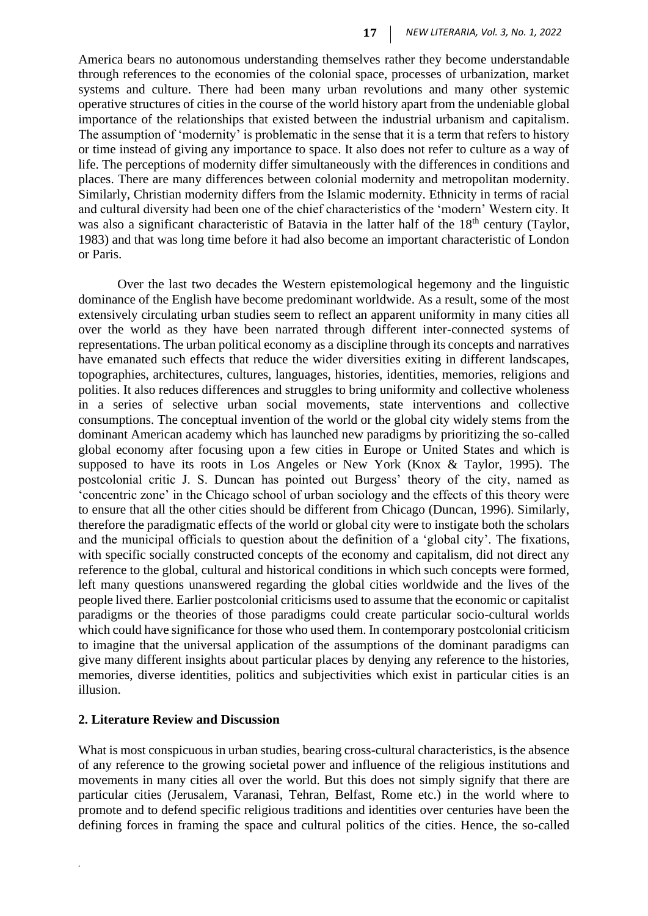America bears no autonomous understanding themselves rather they become understandable through references to the economies of the colonial space, processes of urbanization, market systems and culture. There had been many urban revolutions and many other systemic operative structures of cities in the course of the world history apart from the undeniable global importance of the relationships that existed between the industrial urbanism and capitalism. The assumption of 'modernity' is problematic in the sense that it is a term that refers to history or time instead of giving any importance to space. It also does not refer to culture as a way of life. The perceptions of modernity differ simultaneously with the differences in conditions and places. There are many differences between colonial modernity and metropolitan modernity. Similarly, Christian modernity differs from the Islamic modernity. Ethnicity in terms of racial and cultural diversity had been one of the chief characteristics of the 'modern' Western city. It was also a significant characteristic of Batavia in the latter half of the 18<sup>th</sup> century (Taylor, 1983) and that was long time before it had also become an important characteristic of London or Paris.

Over the last two decades the Western epistemological hegemony and the linguistic dominance of the English have become predominant worldwide. As a result, some of the most extensively circulating urban studies seem to reflect an apparent uniformity in many cities all over the world as they have been narrated through different inter-connected systems of representations. The urban political economy as a discipline through its concepts and narratives have emanated such effects that reduce the wider diversities exiting in different landscapes, topographies, architectures, cultures, languages, histories, identities, memories, religions and polities. It also reduces differences and struggles to bring uniformity and collective wholeness in a series of selective urban social movements, state interventions and collective consumptions. The conceptual invention of the world or the global city widely stems from the dominant American academy which has launched new paradigms by prioritizing the so-called global economy after focusing upon a few cities in Europe or United States and which is supposed to have its roots in Los Angeles or New York (Knox & Taylor, 1995). The postcolonial critic J. S. Duncan has pointed out Burgess' theory of the city, named as 'concentric zone' in the Chicago school of urban sociology and the effects of this theory were to ensure that all the other cities should be different from Chicago (Duncan, 1996). Similarly, therefore the paradigmatic effects of the world or global city were to instigate both the scholars and the municipal officials to question about the definition of a 'global city'. The fixations, with specific socially constructed concepts of the economy and capitalism, did not direct any reference to the global, cultural and historical conditions in which such concepts were formed, left many questions unanswered regarding the global cities worldwide and the lives of the people lived there. Earlier postcolonial criticisms used to assume that the economic or capitalist paradigms or the theories of those paradigms could create particular socio-cultural worlds which could have significance for those who used them. In contemporary postcolonial criticism to imagine that the universal application of the assumptions of the dominant paradigms can give many different insights about particular places by denying any reference to the histories, memories, diverse identities, politics and subjectivities which exist in particular cities is an illusion.

#### **2. Literature Review and Discussion**

*.*

What is most conspicuous in urban studies, bearing cross-cultural characteristics, is the absence of any reference to the growing societal power and influence of the religious institutions and movements in many cities all over the world. But this does not simply signify that there are particular cities (Jerusalem, Varanasi, Tehran, Belfast, Rome etc.) in the world where to promote and to defend specific religious traditions and identities over centuries have been the defining forces in framing the space and cultural politics of the cities. Hence, the so-called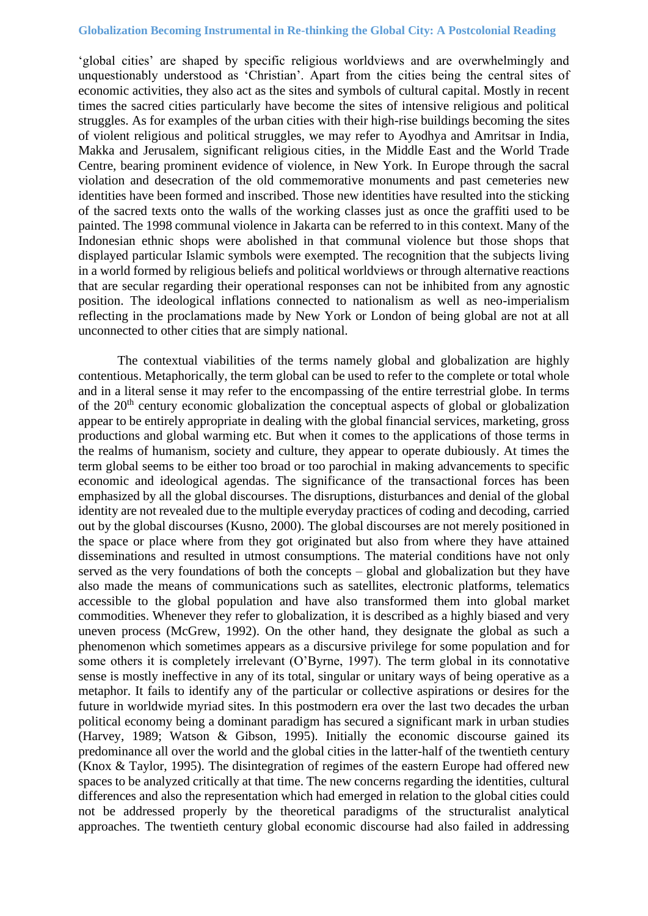'global cities' are shaped by specific religious worldviews and are overwhelmingly and unquestionably understood as 'Christian'. Apart from the cities being the central sites of economic activities, they also act as the sites and symbols of cultural capital. Mostly in recent times the sacred cities particularly have become the sites of intensive religious and political struggles. As for examples of the urban cities with their high-rise buildings becoming the sites of violent religious and political struggles, we may refer to Ayodhya and Amritsar in India, Makka and Jerusalem, significant religious cities, in the Middle East and the World Trade Centre, bearing prominent evidence of violence, in New York. In Europe through the sacral violation and desecration of the old commemorative monuments and past cemeteries new identities have been formed and inscribed. Those new identities have resulted into the sticking of the sacred texts onto the walls of the working classes just as once the graffiti used to be painted. The 1998 communal violence in Jakarta can be referred to in this context. Many of the Indonesian ethnic shops were abolished in that communal violence but those shops that displayed particular Islamic symbols were exempted. The recognition that the subjects living in a world formed by religious beliefs and political worldviews or through alternative reactions that are secular regarding their operational responses can not be inhibited from any agnostic position. The ideological inflations connected to nationalism as well as neo-imperialism reflecting in the proclamations made by New York or London of being global are not at all unconnected to other cities that are simply national.

The contextual viabilities of the terms namely global and globalization are highly contentious. Metaphorically, the term global can be used to refer to the complete or total whole and in a literal sense it may refer to the encompassing of the entire terrestrial globe. In terms of the  $20<sup>th</sup>$  century economic globalization the conceptual aspects of global or globalization appear to be entirely appropriate in dealing with the global financial services, marketing, gross productions and global warming etc. But when it comes to the applications of those terms in the realms of humanism, society and culture, they appear to operate dubiously. At times the term global seems to be either too broad or too parochial in making advancements to specific economic and ideological agendas. The significance of the transactional forces has been emphasized by all the global discourses. The disruptions, disturbances and denial of the global identity are not revealed due to the multiple everyday practices of coding and decoding, carried out by the global discourses (Kusno, 2000). The global discourses are not merely positioned in the space or place where from they got originated but also from where they have attained disseminations and resulted in utmost consumptions. The material conditions have not only served as the very foundations of both the concepts – global and globalization but they have also made the means of communications such as satellites, electronic platforms, telematics accessible to the global population and have also transformed them into global market commodities. Whenever they refer to globalization, it is described as a highly biased and very uneven process (McGrew, 1992). On the other hand, they designate the global as such a phenomenon which sometimes appears as a discursive privilege for some population and for some others it is completely irrelevant (O'Byrne, 1997). The term global in its connotative sense is mostly ineffective in any of its total, singular or unitary ways of being operative as a metaphor. It fails to identify any of the particular or collective aspirations or desires for the future in worldwide myriad sites. In this postmodern era over the last two decades the urban political economy being a dominant paradigm has secured a significant mark in urban studies (Harvey, 1989; Watson & Gibson, 1995). Initially the economic discourse gained its predominance all over the world and the global cities in the latter-half of the twentieth century (Knox & Taylor, 1995). The disintegration of regimes of the eastern Europe had offered new spaces to be analyzed critically at that time. The new concerns regarding the identities, cultural differences and also the representation which had emerged in relation to the global cities could not be addressed properly by the theoretical paradigms of the structuralist analytical approaches. The twentieth century global economic discourse had also failed in addressing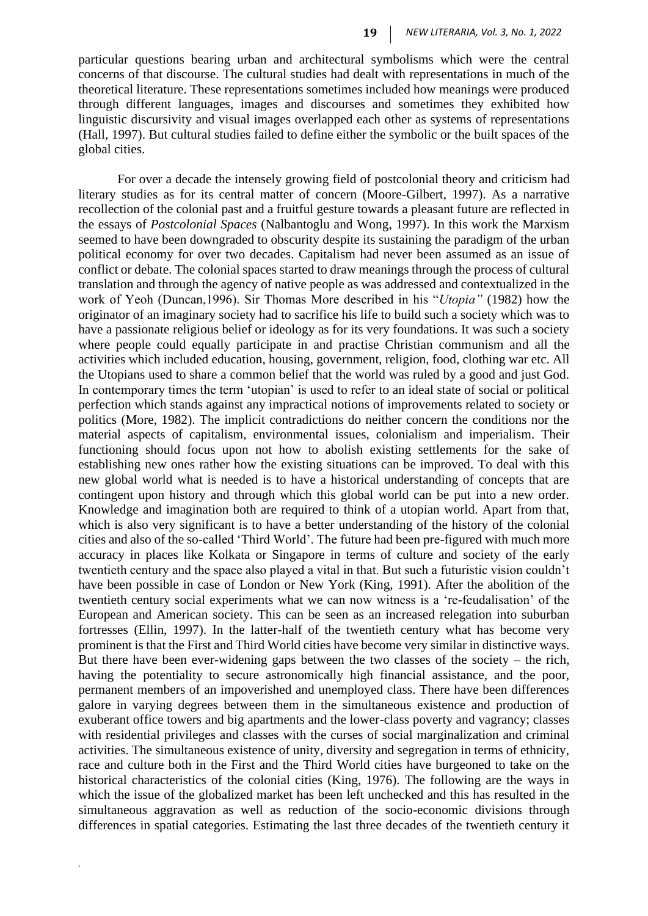particular questions bearing urban and architectural symbolisms which were the central concerns of that discourse. The cultural studies had dealt with representations in much of the theoretical literature. These representations sometimes included how meanings were produced through different languages, images and discourses and sometimes they exhibited how linguistic discursivity and visual images overlapped each other as systems of representations (Hall, 1997). But cultural studies failed to define either the symbolic or the built spaces of the global cities.

For over a decade the intensely growing field of postcolonial theory and criticism had literary studies as for its central matter of concern (Moore-Gilbert, 1997). As a narrative recollection of the colonial past and a fruitful gesture towards a pleasant future are reflected in the essays of *Postcolonial Spaces* (Nalbantoglu and Wong, 1997). In this work the Marxism seemed to have been downgraded to obscurity despite its sustaining the paradigm of the urban political economy for over two decades. Capitalism had never been assumed as an issue of conflict or debate. The colonial spaces started to draw meanings through the process of cultural translation and through the agency of native people as was addressed and contextualized in the work of Yeoh (Duncan,1996). Sir Thomas More described in his "*Utopia"* (1982) how the originator of an imaginary society had to sacrifice his life to build such a society which was to have a passionate religious belief or ideology as for its very foundations. It was such a society where people could equally participate in and practise Christian communism and all the activities which included education, housing, government, religion, food, clothing war etc. All the Utopians used to share a common belief that the world was ruled by a good and just God. In contemporary times the term 'utopian' is used to refer to an ideal state of social or political perfection which stands against any impractical notions of improvements related to society or politics (More, 1982). The implicit contradictions do neither concern the conditions nor the material aspects of capitalism, environmental issues, colonialism and imperialism. Their functioning should focus upon not how to abolish existing settlements for the sake of establishing new ones rather how the existing situations can be improved. To deal with this new global world what is needed is to have a historical understanding of concepts that are contingent upon history and through which this global world can be put into a new order. Knowledge and imagination both are required to think of a utopian world. Apart from that, which is also very significant is to have a better understanding of the history of the colonial cities and also of the so-called 'Third World'. The future had been pre-figured with much more accuracy in places like Kolkata or Singapore in terms of culture and society of the early twentieth century and the space also played a vital in that. But such a futuristic vision couldn't have been possible in case of London or New York (King, 1991). After the abolition of the twentieth century social experiments what we can now witness is a 're-feudalisation' of the European and American society. This can be seen as an increased relegation into suburban fortresses (Ellin, 1997). In the latter-half of the twentieth century what has become very prominent is that the First and Third World cities have become very similar in distinctive ways. But there have been ever-widening gaps between the two classes of the society – the rich, having the potentiality to secure astronomically high financial assistance, and the poor, permanent members of an impoverished and unemployed class. There have been differences galore in varying degrees between them in the simultaneous existence and production of exuberant office towers and big apartments and the lower-class poverty and vagrancy; classes with residential privileges and classes with the curses of social marginalization and criminal activities. The simultaneous existence of unity, diversity and segregation in terms of ethnicity, race and culture both in the First and the Third World cities have burgeoned to take on the historical characteristics of the colonial cities (King, 1976). The following are the ways in which the issue of the globalized market has been left unchecked and this has resulted in the simultaneous aggravation as well as reduction of the socio-economic divisions through differences in spatial categories. Estimating the last three decades of the twentieth century it

*.*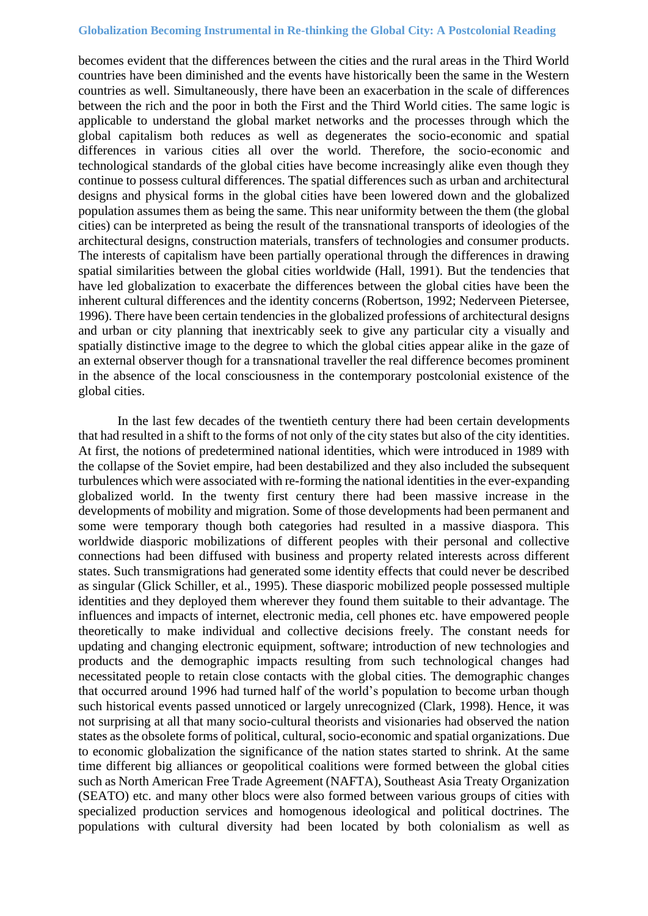becomes evident that the differences between the cities and the rural areas in the Third World countries have been diminished and the events have historically been the same in the Western countries as well. Simultaneously, there have been an exacerbation in the scale of differences between the rich and the poor in both the First and the Third World cities. The same logic is applicable to understand the global market networks and the processes through which the global capitalism both reduces as well as degenerates the socio-economic and spatial differences in various cities all over the world. Therefore, the socio-economic and technological standards of the global cities have become increasingly alike even though they continue to possess cultural differences. The spatial differences such as urban and architectural designs and physical forms in the global cities have been lowered down and the globalized population assumes them as being the same. This near uniformity between the them (the global cities) can be interpreted as being the result of the transnational transports of ideologies of the architectural designs, construction materials, transfers of technologies and consumer products. The interests of capitalism have been partially operational through the differences in drawing spatial similarities between the global cities worldwide (Hall, 1991). But the tendencies that have led globalization to exacerbate the differences between the global cities have been the inherent cultural differences and the identity concerns (Robertson, 1992; Nederveen Pietersee, 1996). There have been certain tendencies in the globalized professions of architectural designs and urban or city planning that inextricably seek to give any particular city a visually and spatially distinctive image to the degree to which the global cities appear alike in the gaze of an external observer though for a transnational traveller the real difference becomes prominent in the absence of the local consciousness in the contemporary postcolonial existence of the global cities.

In the last few decades of the twentieth century there had been certain developments that had resulted in a shift to the forms of not only of the city states but also of the city identities. At first, the notions of predetermined national identities, which were introduced in 1989 with the collapse of the Soviet empire, had been destabilized and they also included the subsequent turbulences which were associated with re-forming the national identities in the ever-expanding globalized world. In the twenty first century there had been massive increase in the developments of mobility and migration. Some of those developments had been permanent and some were temporary though both categories had resulted in a massive diaspora. This worldwide diasporic mobilizations of different peoples with their personal and collective connections had been diffused with business and property related interests across different states. Such transmigrations had generated some identity effects that could never be described as singular (Glick Schiller, et al., 1995). These diasporic mobilized people possessed multiple identities and they deployed them wherever they found them suitable to their advantage. The influences and impacts of internet, electronic media, cell phones etc. have empowered people theoretically to make individual and collective decisions freely. The constant needs for updating and changing electronic equipment, software; introduction of new technologies and products and the demographic impacts resulting from such technological changes had necessitated people to retain close contacts with the global cities. The demographic changes that occurred around 1996 had turned half of the world's population to become urban though such historical events passed unnoticed or largely unrecognized (Clark, 1998). Hence, it was not surprising at all that many socio-cultural theorists and visionaries had observed the nation states as the obsolete forms of political, cultural, socio-economic and spatial organizations. Due to economic globalization the significance of the nation states started to shrink. At the same time different big alliances or geopolitical coalitions were formed between the global cities such as North American Free Trade Agreement (NAFTA), Southeast Asia Treaty Organization (SEATO) etc. and many other blocs were also formed between various groups of cities with specialized production services and homogenous ideological and political doctrines. The populations with cultural diversity had been located by both colonialism as well as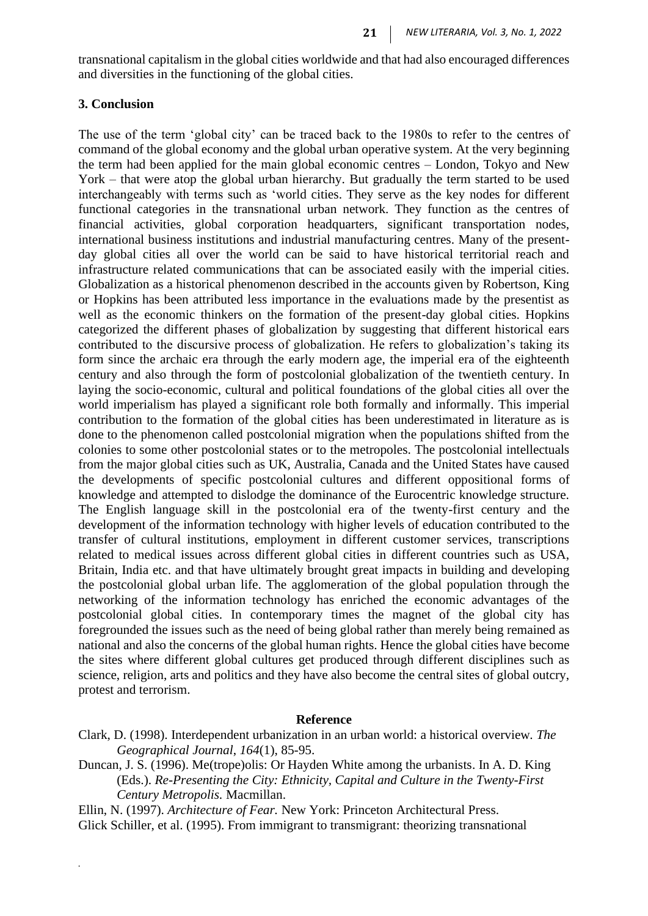transnational capitalism in the global cities worldwide and that had also encouraged differences and diversities in the functioning of the global cities.

## **3. Conclusion**

*.*

The use of the term 'global city' can be traced back to the 1980s to refer to the centres of command of the global economy and the global urban operative system. At the very beginning the term had been applied for the main global economic centres – London, Tokyo and New York – that were atop the global urban hierarchy. But gradually the term started to be used interchangeably with terms such as 'world cities. They serve as the key nodes for different functional categories in the transnational urban network. They function as the centres of financial activities, global corporation headquarters, significant transportation nodes, international business institutions and industrial manufacturing centres. Many of the presentday global cities all over the world can be said to have historical territorial reach and infrastructure related communications that can be associated easily with the imperial cities. Globalization as a historical phenomenon described in the accounts given by Robertson, King or Hopkins has been attributed less importance in the evaluations made by the presentist as well as the economic thinkers on the formation of the present-day global cities. Hopkins categorized the different phases of globalization by suggesting that different historical ears contributed to the discursive process of globalization. He refers to globalization's taking its form since the archaic era through the early modern age, the imperial era of the eighteenth century and also through the form of postcolonial globalization of the twentieth century. In laying the socio-economic, cultural and political foundations of the global cities all over the world imperialism has played a significant role both formally and informally. This imperial contribution to the formation of the global cities has been underestimated in literature as is done to the phenomenon called postcolonial migration when the populations shifted from the colonies to some other postcolonial states or to the metropoles. The postcolonial intellectuals from the major global cities such as UK, Australia, Canada and the United States have caused the developments of specific postcolonial cultures and different oppositional forms of knowledge and attempted to dislodge the dominance of the Eurocentric knowledge structure. The English language skill in the postcolonial era of the twenty-first century and the development of the information technology with higher levels of education contributed to the transfer of cultural institutions, employment in different customer services, transcriptions related to medical issues across different global cities in different countries such as USA, Britain, India etc. and that have ultimately brought great impacts in building and developing the postcolonial global urban life. The agglomeration of the global population through the networking of the information technology has enriched the economic advantages of the postcolonial global cities. In contemporary times the magnet of the global city has foregrounded the issues such as the need of being global rather than merely being remained as national and also the concerns of the global human rights. Hence the global cities have become the sites where different global cultures get produced through different disciplines such as science, religion, arts and politics and they have also become the central sites of global outcry, protest and terrorism.

## **Reference**

- Clark, D. (1998). Interdependent urbanization in an urban world: a historical overview*. The Geographical Journal*, *164*(1), 85-95.
- Duncan, J. S. (1996). Me(trope)olis: Or Hayden White among the urbanists. In A. D. King (Eds.). *Re-Presenting the City: Ethnicity, Capital and Culture in the Twenty-First Century Metropolis.* Macmillan.

Ellin, N. (1997). *Architecture of Fear.* New York: Princeton Architectural Press. Glick Schiller, et al. (1995). From immigrant to transmigrant: theorizing transnational